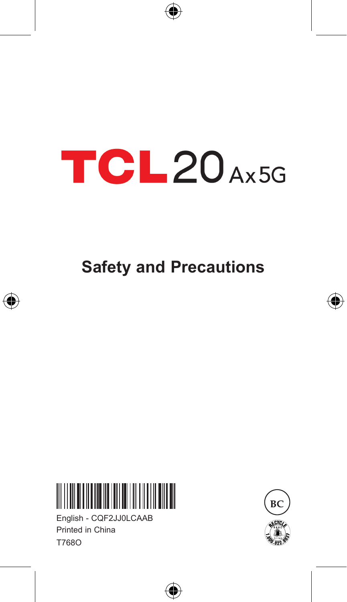# TCL20<sub>Ax5G</sub>

**Safety and Precautions**

€



English - CQF2JJ0LCAAB Printed in China T768O





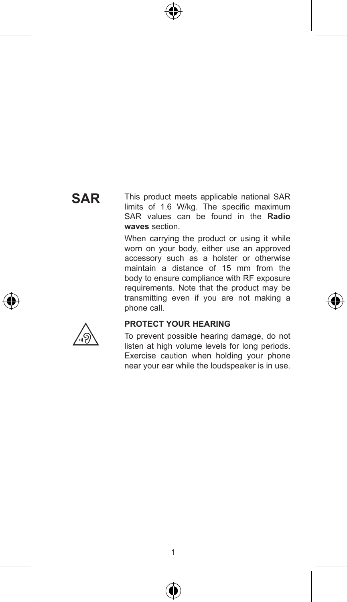## **SAR**

This product meets applicable national SAR limits of 1.6 W/kg. The specific maximum SAR values can be found in the **Radio waves** section.

When carrying the product or using it while worn on your body, either use an approved accessory such as a holster or otherwise maintain a distance of 15 mm from the body to ensure compliance with RF exposure requirements. Note that the product may be transmitting even if you are not making a phone call.



#### **PROTECT YOUR HEARING**

To prevent possible hearing damage, do not listen at high volume levels for long periods. Exercise caution when holding your phone near your ear while the loudspeaker is in use.



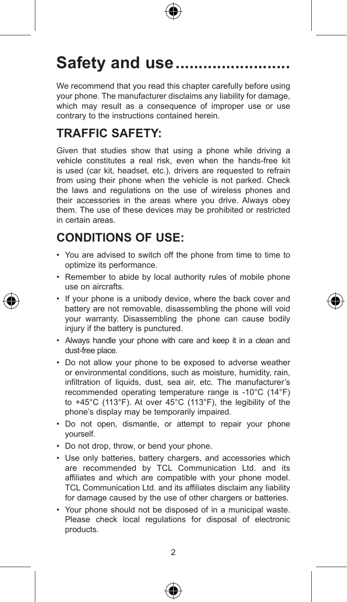

# Safety and use ..........

We recommend that you read this chapter carefully before using your phone. The manufacturer disclaims any liability for damage, which may result as a consequence of improper use or use contrary to the instructions contained herein.

## **TRAFFIC SAFETY:**

Given that studies show that using a phone while driving a vehicle constitutes a real risk, even when the hands-free kit is used (car kit, headset, etc.), drivers are requested to refrain from using their phone when the vehicle is not parked. Check the laws and regulations on the use of wireless phones and their accessories in the areas where you drive. Always obey them. The use of these devices may be prohibited or restricted in certain areas.

## **CONDITIONS OF USE:**

- • You are advised to switch off the phone from time to time to optimize its performance.
- Remember to abide by local authority rules of mobile phone use on aircrafts.
- If your phone is a unibody device, where the back cover and battery are not removable, disassembling the phone will void your warranty. Disassembling the phone can cause bodily injury if the battery is punctured.
- • Always handle your phone with care and keep it in a clean and dust-free place.
- • Do not allow your phone to be exposed to adverse weather or environmental conditions, such as moisture, humidity, rain, infiltration of liquids, dust, sea air, etc. The manufacturer's recommended operating temperature range is -10°C (14°F) to +45°C (113°F). At over 45°C (113°F), the legibility of the phone's display may be temporarily impaired.
- • Do not open, dismantle, or attempt to repair your phone yourself.
- Do not drop, throw, or bend your phone.
- Use only batteries, battery chargers, and accessories which are recommended by TCL Communication Ltd. and its affiliates and which are compatible with your phone model. TCL Communication Ltd. and its affiliates disclaim any liability for damage caused by the use of other chargers or batteries.
- • Your phone should not be disposed of in a municipal waste. Please check local regulations for disposal of electronic products.



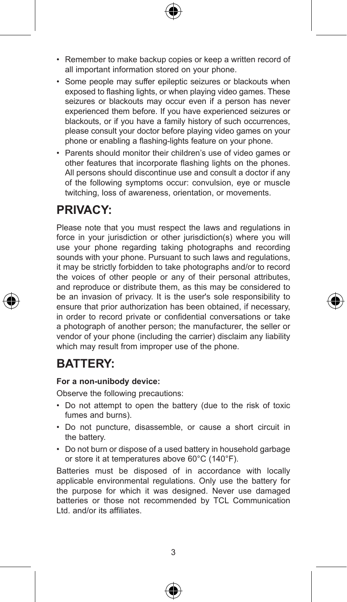- Remember to make backup copies or keep a written record of all important information stored on your phone.
- Some people may suffer epileptic seizures or blackouts when exposed to flashing lights, or when playing video games. These seizures or blackouts may occur even if a person has never experienced them before. If you have experienced seizures or blackouts, or if you have a family history of such occurrences, please consult your doctor before playing video games on your phone or enabling a flashing-lights feature on your phone.
- Parents should monitor their children's use of video games or other features that incorporate flashing lights on the phones. All persons should discontinue use and consult a doctor if any of the following symptoms occur: convulsion, eye or muscle twitching, loss of awareness, orientation, or movements.

#### **PRIVACY:**

Please note that you must respect the laws and regulations in force in your jurisdiction or other jurisdiction(s) where you will use your phone regarding taking photographs and recording sounds with your phone. Pursuant to such laws and regulations, it may be strictly forbidden to take photographs and/or to record the voices of other people or any of their personal attributes, and reproduce or distribute them, as this may be considered to be an invasion of privacy. It is the user's sole responsibility to ensure that prior authorization has been obtained, if necessary, in order to record private or confidential conversations or take a photograph of another person; the manufacturer, the seller or vendor of your phone (including the carrier) disclaim any liability which may result from improper use of the phone.

#### **BATTERY:**

#### **For a non-unibody device:**

Observe the following precautions:

- • Do not attempt to open the battery (due to the risk of toxic fumes and burns).
- • Do not puncture, disassemble, or cause a short circuit in the battery.
- Do not burn or dispose of a used battery in household garbage or store it at temperatures above 60°C (140°F).

Batteries must be disposed of in accordance with locally applicable environmental regulations. Only use the battery for the purpose for which it was designed. Never use damaged batteries or those not recommended by TCL Communication Ltd. and/or its affiliates.



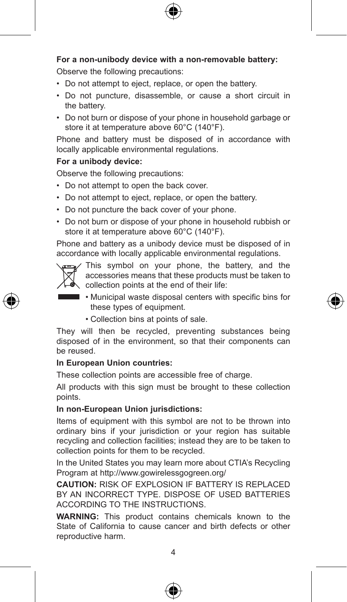

#### **For a non-unibody device with a non-removable battery:**

Observe the following precautions:

- Do not attempt to eject, replace, or open the battery.
- Do not puncture, disassemble, or cause a short circuit in the battery.
- • Do not burn or dispose of your phone in household garbage or store it at temperature above 60°C (140°F).

Phone and battery must be disposed of in accordance with locally applicable environmental regulations.

#### **For a unibody device:**

Observe the following precautions:

- Do not attempt to open the back cover.
- Do not attempt to eject, replace, or open the battery.
- Do not puncture the back cover of your phone.
- • Do not burn or dispose of your phone in household rubbish or store it at temperature above 60°C (140°F).

Phone and battery as a unibody device must be disposed of in accordance with locally applicable environmental regulations.



This symbol on your phone, the battery, and the accessories means that these products must be taken to collection points at the end of their life:

- Municipal waste disposal centers with specific bins for these types of equipment.
	- • Collection bins at points of sale.

They will then be recycled, preventing substances being disposed of in the environment, so that their components can be reused.

#### **In European Union countries:**

These collection points are accessible free of charge.

All products with this sign must be brought to these collection points.

#### **In non-European Union jurisdictions:**

Items of equipment with this symbol are not to be thrown into ordinary bins if your jurisdiction or your region has suitable recycling and collection facilities; instead they are to be taken to collection points for them to be recycled.

In the United States you may learn more about CTIA's Recycling Program at http://www.gowirelessgogreen.org/

**CAUTION:** RISK OF EXPLOSION IF BATTERY IS REPLACED BY AN INCORRECT TYPE. DISPOSE OF USED BATTERIES ACCORDING TO THE INSTRUCTIONS.

**WARNING:** This product contains chemicals known to the State of California to cause cancer and birth defects or other reproductive harm.



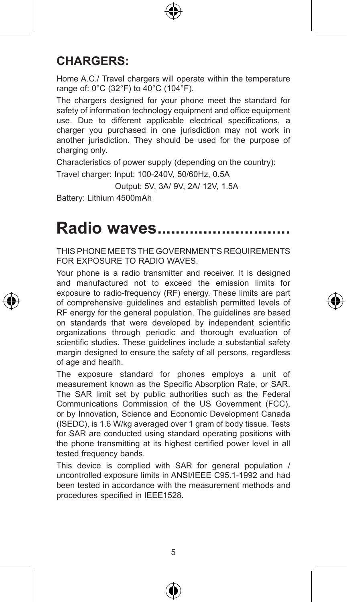

#### **CHARGERS:**

Home A.C./ Travel chargers will operate within the temperature range of: 0°C (32°F) to 40°C (104°F).

The chargers designed for your phone meet the standard for safety of information technology equipment and office equipment use. Due to different applicable electrical specifications, a charger you purchased in one jurisdiction may not work in another jurisdiction. They should be used for the purpose of charging only.

Characteristics of power supply (depending on the country):

Travel charger: Input: 100-240V, 50/60Hz, 0.5A

Output: 5V, 3A/ 9V, 2A/ 12V, 1.5A

Battery: Lithium 4500mAh

# Radio waves...

THIS PHONE MEETS THE GOVERNMENT'S REQUIREMENTS FOR EXPOSURE TO RADIO WAVES.

Your phone is a radio transmitter and receiver. It is designed and manufactured not to exceed the emission limits for exposure to radio-frequency (RF) energy. These limits are part of comprehensive guidelines and establish permitted levels of RF energy for the general population. The guidelines are based on standards that were developed by independent scientific organizations through periodic and thorough evaluation of scientific studies. These guidelines include a substantial safety margin designed to ensure the safety of all persons, regardless of age and health.

The exposure standard for phones employs a unit of measurement known as the Specific Absorption Rate, or SAR. The SAR limit set by public authorities such as the Federal Communications Commission of the US Government (FCC), or by Innovation, Science and Economic Development Canada (ISEDC), is 1.6 W/kg averaged over 1 gram of body tissue. Tests for SAR are conducted using standard operating positions with the phone transmitting at its highest certified power level in all tested frequency bands.

This device is complied with SAR for general population / uncontrolled exposure limits in ANSI/IEEE C95.1-1992 and had been tested in accordance with the measurement methods and procedures specified in IEEE1528.

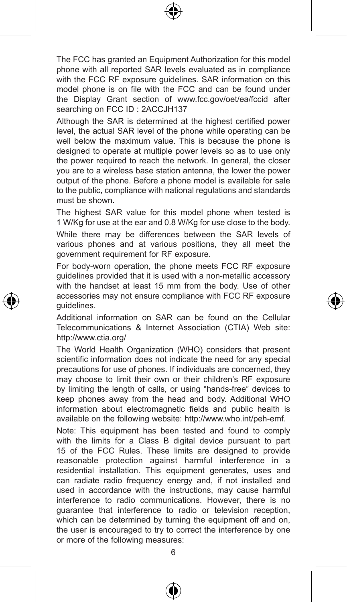

The FCC has granted an Equipment Authorization for this model phone with all reported SAR levels evaluated as in compliance with the FCC RF exposure guidelines. SAR information on this model phone is on file with the FCC and can be found under the Display Grant section of www.fcc.gov/oet/ea/fccid after searching on FCC ID : 2ACCJH137

Although the SAR is determined at the highest certified power level, the actual SAR level of the phone while operating can be well below the maximum value. This is because the phone is designed to operate at multiple power levels so as to use only the power required to reach the network. In general, the closer you are to a wireless base station antenna, the lower the power output of the phone. Before a phone model is available for sale to the public, compliance with national regulations and standards must be shown.

The highest SAR value for this model phone when tested is 1 W/Kg for use at the ear and 0.8 W/Kg for use close to the body.

While there may be differences between the SAR levels of various phones and at various positions, they all meet the government requirement for RF exposure.

For body-worn operation, the phone meets FCC RF exposure guidelines provided that it is used with a non-metallic accessory with the handset at least 15 mm from the body. Use of other accessories may not ensure compliance with FCC RF exposure guidelines.

Additional information on SAR can be found on the Cellular Telecommunications & Internet Association (CTIA) Web site: http://www.ctia.org/

The World Health Organization (WHO) considers that present scientific information does not indicate the need for any special precautions for use of phones. If individuals are concerned, they may choose to limit their own or their children's RF exposure by limiting the length of calls, or using "hands-free" devices to keep phones away from the head and body. Additional WHO information about electromagnetic fields and public health is available on the following website: http://www.who.int/peh-emf.

Note: This equipment has been tested and found to comply with the limits for a Class B digital device pursuant to part 15 of the FCC Rules. These limits are designed to provide reasonable protection against harmful interference in a residential installation. This equipment generates, uses and can radiate radio frequency energy and, if not installed and used in accordance with the instructions, may cause harmful interference to radio communications. However, there is no guarantee that interference to radio or television reception, which can be determined by turning the equipment off and on, the user is encouraged to try to correct the interference by one or more of the following measures:



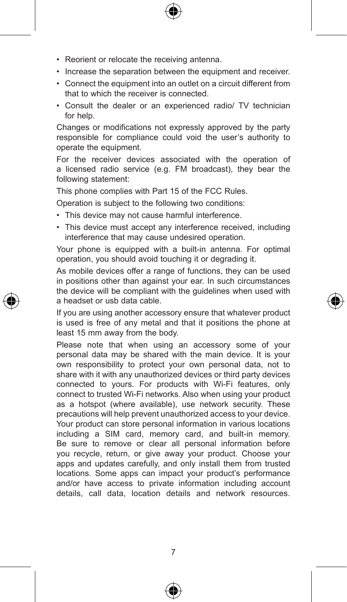- Reorient or relocate the receiving antenna.
- Increase the separation between the equipment and receiver.
- • Connect the equipment into an outlet on a circuit different from that to which the receiver is connected.
- • Consult the dealer or an experienced radio/ TV technician for help.

Changes or modifications not expressly approved by the party responsible for compliance could void the user's authority to operate the equipment.

For the receiver devices associated with the operation of a licensed radio service (e.g. FM broadcast), they bear the following statement:

This phone complies with Part 15 of the FCC Rules.

Operation is subject to the following two conditions:

- This device may not cause harmful interference.
- This device must accept any interference received, including interference that may cause undesired operation.

Your phone is equipped with a built-in antenna. For optimal operation, you should avoid touching it or degrading it.

As mobile devices offer a range of functions, they can be used in positions other than against your ear. In such circumstances the device will be compliant with the guidelines when used with a headset or usb data cable.

If you are using another accessory ensure that whatever product is used is free of any metal and that it positions the phone at least 15 mm away from the body.

Please note that when using an accessory some of your personal data may be shared with the main device. It is your own responsibility to protect your own personal data, not to share with it with any unauthorized devices or third party devices connected to yours. For products with Wi-Fi features, only connect to trusted Wi-Fi networks. Also when using your product as a hotspot (where available), use network security. These precautions will help prevent unauthorized access to your device. Your product can store personal information in various locations including a SIM card, memory card, and built-in memory. Be sure to remove or clear all personal information before you recycle, return, or give away your product. Choose your apps and updates carefully, and only install them from trusted locations. Some apps can impact your product's performance and/or have access to private information including account details, call data, location details and network resources.





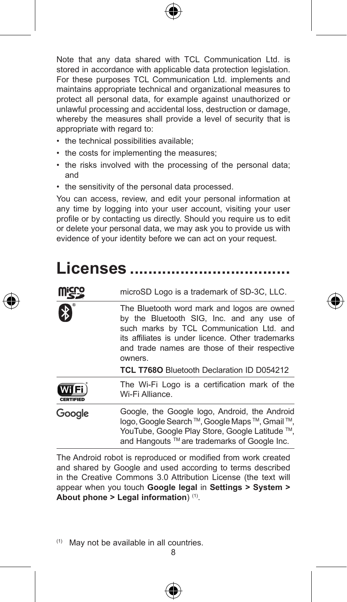

Note that any data shared with TCL Communication Ltd. is stored in accordance with applicable data protection legislation. For these purposes TCL Communication Ltd. implements and maintains appropriate technical and organizational measures to protect all personal data, for example against unauthorized or unlawful processing and accidental loss, destruction or damage, whereby the measures shall provide a level of security that is appropriate with regard to:

- the technical possibilities available;
- the costs for implementing the measures;
- the risks involved with the processing of the personal data; and
- the sensitivity of the personal data processed.

You can access, review, and edit your personal information at any time by logging into your user account, visiting your user profile or by contacting us directly. Should you require us to edit or delete your personal data, we may ask you to provide us with evidence of your identity before we can act on your request.

# **Licenses �����������������������������������**

|                           | microSD Logo is a trademark of SD-3C, LLC.                                                                                                                                                                                                                                                          |
|---------------------------|-----------------------------------------------------------------------------------------------------------------------------------------------------------------------------------------------------------------------------------------------------------------------------------------------------|
| ิ่⊁                       | The Bluetooth word mark and logos are owned<br>by the Bluetooth SIG, Inc. and any use of<br>such marks by TCL Communication Ltd. and<br>its affiliates is under licence. Other trademarks<br>and trade names are those of their respective<br>owners.<br>TCL T768O Bluetooth Declaration ID D054212 |
| WIFi)<br><b>CERTIFIED</b> | The Wi-Fi Logo is a certification mark of the<br>Wi-Fi Alliance.                                                                                                                                                                                                                                    |
| Google                    | Google, the Google logo, Android, the Android<br>logo, Google Search ™, Google Maps ™, Gmail ™,<br>YouTube, Google Play Store, Google Latitude ™,<br>and Hangouts ™ are trademarks of Google Inc.                                                                                                   |
|                           |                                                                                                                                                                                                                                                                                                     |

The Android robot is reproduced or modified from work created and shared by Google and used according to terms described in the Creative Commons 3.0 Attribution License (the text will appear when you touch **Google legal** in **Settings > System > About phone > Legal information**) (1).

(1) May not be available in all countries.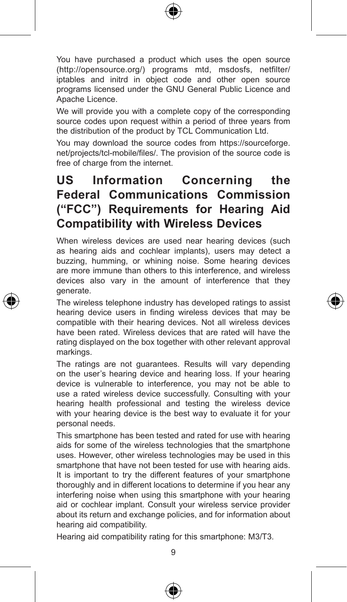

You have purchased a product which uses the open source (http://opensource.org/) programs mtd, msdosfs, netfilter/ iptables and initrd in object code and other open source programs licensed under the GNU General Public Licence and Apache Licence.

We will provide you with a complete copy of the corresponding source codes upon request within a period of three years from the distribution of the product by TCL Communication Ltd.

You may download the source codes from https://sourceforge. net/projects/tcl-mobile/files/. The provision of the source code is free of charge from the internet.

## **US Information Concerning the Federal Communications Commission ("FCC") Requirements for Hearing Aid Compatibility with Wireless Devices**

When wireless devices are used near hearing devices (such as hearing aids and cochlear implants), users may detect a buzzing, humming, or whining noise. Some hearing devices are more immune than others to this interference, and wireless devices also vary in the amount of interference that they generate.

The wireless telephone industry has developed ratings to assist hearing device users in finding wireless devices that may be compatible with their hearing devices. Not all wireless devices have been rated. Wireless devices that are rated will have the rating displayed on the box together with other relevant approval markings.

The ratings are not guarantees. Results will vary depending on the user's hearing device and hearing loss. If your hearing device is vulnerable to interference, you may not be able to use a rated wireless device successfully. Consulting with your hearing health professional and testing the wireless device with your hearing device is the best way to evaluate it for your personal needs.

This smartphone has been tested and rated for use with hearing aids for some of the wireless technologies that the smartphone uses. However, other wireless technologies may be used in this smartphone that have not been tested for use with hearing aids. It is important to try the different features of your smartphone thoroughly and in different locations to determine if you hear any interfering noise when using this smartphone with your hearing aid or cochlear implant. Consult your wireless service provider about its return and exchange policies, and for information about hearing aid compatibility.

Hearing aid compatibility rating for this smartphone: M3/T3.





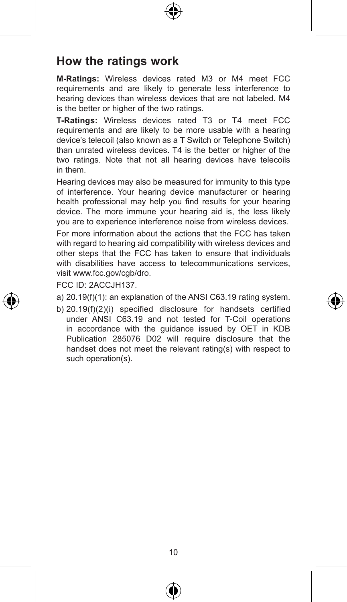

#### **How the ratings work**

**M-Ratings:** Wireless devices rated M3 or M4 meet FCC requirements and are likely to generate less interference to hearing devices than wireless devices that are not labeled. M4 is the better or higher of the two ratings.

**T-Ratings:** Wireless devices rated T3 or T4 meet FCC requirements and are likely to be more usable with a hearing device's telecoil (also known as a T Switch or Telephone Switch) than unrated wireless devices. T4 is the better or higher of the two ratings. Note that not all hearing devices have telecoils in them.

Hearing devices may also be measured for immunity to this type of interference. Your hearing device manufacturer or hearing health professional may help you find results for your hearing device. The more immune your hearing aid is, the less likely you are to experience interference noise from wireless devices. For more information about the actions that the FCC has taken

with regard to hearing aid compatibility with wireless devices and other steps that the FCC has taken to ensure that individuals with disabilities have access to telecommunications services, visit www.fcc.gov/cgb/dro.

FCC ID: 2ACCJH137.

- a) 20.19(f)(1): an explanation of the ANSI C63.19 rating system.
- b) 20.19(f)(2)(i) specified disclosure for handsets certified under ANSI C63.19 and not tested for T-Coil operations in accordance with the guidance issued by OET in KDB Publication 285076 D02 will require disclosure that the handset does not meet the relevant rating(s) with respect to such operation(s).





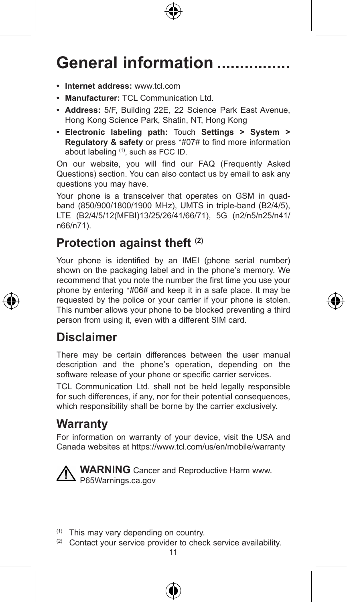

# General information ........

- **• Internet address:** www.tcl.com
- **• Manufacturer:** TCL Communication Ltd.
- **• Address:** 5/F, Building 22E, 22 Science Park East Avenue, Hong Kong Science Park, Shatin, NT, Hong Kong
- **• Electronic labeling path:** Touch **Settings > System > Regulatory & safety** or press \*#07# to find more information about labeling (1), such as FCC ID.

On our website, you will find our FAQ (Frequently Asked Questions) section. You can also contact us by email to ask any questions you may have.

Your phone is a transceiver that operates on GSM in quadband (850/900/1800/1900 MHz), UMTS in triple-band (B2/4/5), LTE (B2/4/5/12(MFBI)13/25/26/41/66/71), 5G (n2/n5/n25/n41/ n66/n71).

#### **Protection against theft (2)**

Your phone is identified by an IMEI (phone serial number) shown on the packaging label and in the phone's memory. We recommend that you note the number the first time you use your phone by entering \*#06# and keep it in a safe place. It may be requested by the police or your carrier if your phone is stolen. This number allows your phone to be blocked preventing a third person from using it, even with a different SIM card.

#### **Disclaimer**

There may be certain differences between the user manual description and the phone's operation, depending on the software release of your phone or specific carrier services.

TCL Communication Ltd. shall not be held legally responsible for such differences, if any, nor for their potential consequences, which responsibility shall be borne by the carrier exclusively.

#### **Warranty**

For information on warranty of your device, visit the USA and Canada websites at https://www.tcl.com/us/en/mobile/warranty



**WARNING** Cancer and Reproductive Harm www. P65Warnings.ca.gov

- (1) This may vary depending on country.
- (2) Contact your service provider to check service availability.



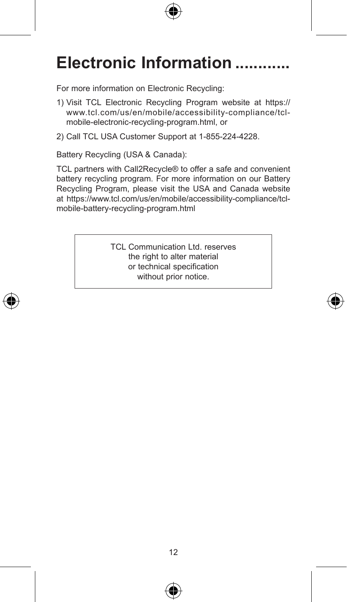

# Electronic Information ............

For more information on Electronic Recycling:

- 1) Visit TCL Electronic Recycling Program website at https:// www.tcl.com/us/en/mobile/accessibility-compliance/tclmobile-electronic-recycling-program.html, or
- 2) Call TCL USA Customer Support at 1-855-224-4228.

Battery Recycling (USA & Canada):

TCL partners with Call2Recycle® to offer a safe and convenient battery recycling program. For more information on our Battery Recycling Program, please visit the USA and Canada website at https://www.tcl.com/us/en/mobile/accessibility-compliance/tclmobile-battery-recycling-program.html

> TCL Communication Ltd. reserves the right to alter material or technical specification without prior notice.



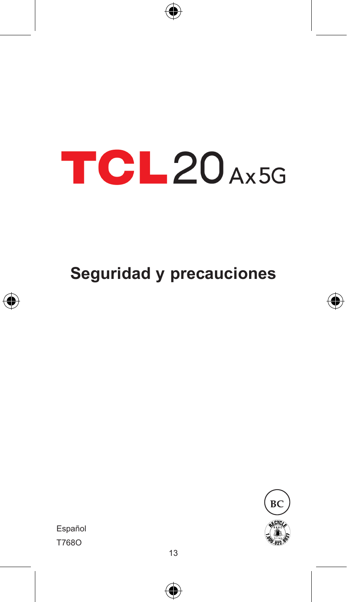# **TCL20Ax5G**

€

**Seguridad y precauciones**





T768O Español

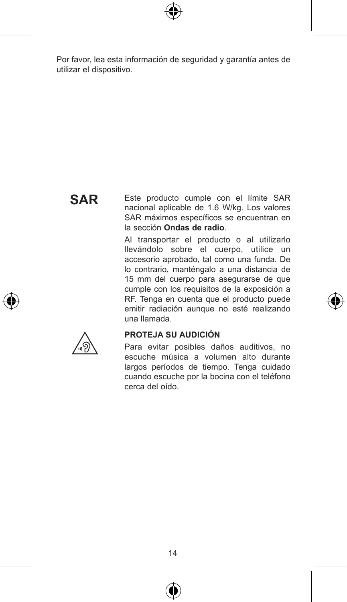

Por favor, lea esta información de seguridad y garantía antes de utilizar el dispositivo.

## **SAR**

Este producto cumple con el límite SAR nacional aplicable de 1.6 W/kg. Los valores SAR máximos específicos se encuentran en la sección **Ondas de radio**.

Al transportar el producto o al utilizarlo llevándolo sobre el cuerpo, utilice un accesorio aprobado, tal como una funda. De lo contrario, manténgalo a una distancia de 15 mm del cuerpo para asegurarse de que cumple con los requisitos de la exposición a RF. Tenga en cuenta que el producto puede emitir radiación aunque no esté realizando una llamada.



#### **PROTEJA SU AUDICIÓN**

Para evitar posibles daños auditivos, no escuche música a volumen alto durante largos períodos de tiempo. Tenga cuidado cuando escuche por la bocina con el teléfono cerca del oído.

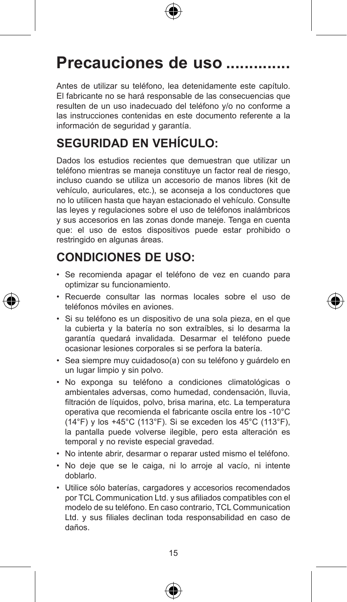

# Precauciones de uso ........

Antes de utilizar su teléfono, lea detenidamente este capítulo. El fabricante no se hará responsable de las consecuencias que resulten de un uso inadecuado del teléfono y/o no conforme a las instrucciones contenidas en este documento referente a la información de seguridad y garantía.

## **SEGURIDAD EN VEHÍCULO:**

Dados los estudios recientes que demuestran que utilizar un teléfono mientras se maneja constituye un factor real de riesgo, incluso cuando se utiliza un accesorio de manos libres (kit de vehículo, auriculares, etc.), se aconseja a los conductores que no lo utilicen hasta que hayan estacionado el vehículo. Consulte las leyes y regulaciones sobre el uso de teléfonos inalámbricos y sus accesorios en las zonas donde maneje. Tenga en cuenta que: el uso de estos dispositivos puede estar prohibido o restringido en algunas áreas.

## **CONDICIONES DE USO:**

- • Se recomienda apagar el teléfono de vez en cuando para optimizar su funcionamiento.
- • Recuerde consultar las normas locales sobre el uso de teléfonos móviles en aviones.
- • Si su teléfono es un dispositivo de una sola pieza, en el que la cubierta y la batería no son extraíbles, si lo desarma la garantía quedará invalidada. Desarmar el teléfono puede ocasionar lesiones corporales si se perfora la batería.
- • Sea siempre muy cuidadoso(a) con su teléfono y guárdelo en un lugar limpio y sin polvo.
- • No exponga su teléfono a condiciones climatológicas o ambientales adversas, como humedad, condensación, lluvia, filtración de líquidos, polvo, brisa marina, etc. La temperatura operativa que recomienda el fabricante oscila entre los -10°C (14°F) y los +45°C (113°F). Si se exceden los 45°C (113°F), la pantalla puede volverse ilegible, pero esta alteración es temporal y no reviste especial gravedad.
- • No intente abrir, desarmar o reparar usted mismo el teléfono.
- • No deje que se le caiga, ni lo arroje al vacío, ni intente doblarlo.
- • Utilice sólo baterías, cargadores y accesorios recomendados por TCL Communication Ltd. y sus afiliados compatibles con el modelo de su teléfono. En caso contrario, TCL Communication Ltd. y sus filiales declinan toda responsabilidad en caso de daños.



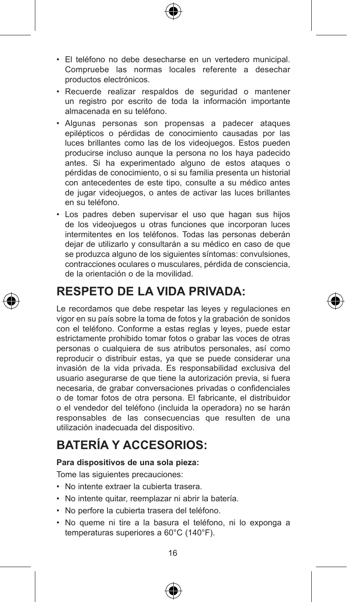- • El teléfono no debe desecharse en un vertedero municipal. Compruebe las normas locales referente a desechar productos electrónicos.
- • Recuerde realizar respaldos de seguridad o mantener un registro por escrito de toda la información importante almacenada en su teléfono.
- • Algunas personas son propensas a padecer ataques epilépticos o pérdidas de conocimiento causadas por las luces brillantes como las de los videojuegos. Estos pueden producirse incluso aunque la persona no los haya padecido antes. Si ha experimentado alguno de estos ataques o pérdidas de conocimiento, o si su familia presenta un historial con antecedentes de este tipo, consulte a su médico antes de jugar videojuegos, o antes de activar las luces brillantes en su teléfono.
- • Los padres deben supervisar el uso que hagan sus hijos de los videojuegos u otras funciones que incorporan luces intermitentes en los teléfonos. Todas las personas deberán dejar de utilizarlo y consultarán a su médico en caso de que se produzca alguno de los siguientes síntomas: convulsiones, contracciones oculares o musculares, pérdida de consciencia, de la orientación o de la movilidad.

### **RESPETO DE LA VIDA PRIVADA:**

Le recordamos que debe respetar las leyes y regulaciones en vigor en su país sobre la toma de fotos y la grabación de sonidos con el teléfono. Conforme a estas reglas y leyes, puede estar estrictamente prohibido tomar fotos o grabar las voces de otras personas o cualquiera de sus atributos personales, así como reproducir o distribuir estas, ya que se puede considerar una invasión de la vida privada. Es responsabilidad exclusiva del usuario asegurarse de que tiene la autorización previa, si fuera necesaria, de grabar conversaciones privadas o confidenciales o de tomar fotos de otra persona. El fabricante, el distribuidor o el vendedor del teléfono (incluida la operadora) no se harán responsables de las consecuencias que resulten de una utilización inadecuada del dispositivo.

## **BATERÍA Y ACCESORIOS:**

#### **Para dispositivos de una sola pieza:**

Tome las siguientes precauciones:

- • No intente extraer la cubierta trasera.
- • No intente quitar, reemplazar ni abrir la batería.
- • No perfore la cubierta trasera del teléfono.
- • No queme ni tire a la basura el teléfono, ni lo exponga a temperaturas superiores a 60°C (140°F).

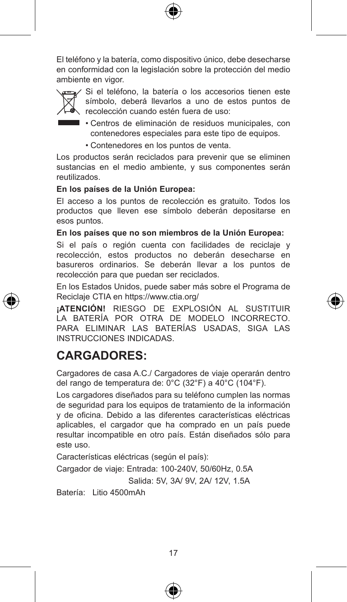

El teléfono y la batería, como dispositivo único, debe desecharse en conformidad con la legislación sobre la protección del medio ambiente en vigor.



Si el teléfono, la batería o los accesorios tienen este símbolo, deberá llevarlos a uno de estos puntos de recolección cuando estén fuera de uso:

- Centros de eliminación de residuos municipales, con contenedores especiales para este tipo de equipos.
	- • Contenedores en los puntos de venta.

Los productos serán reciclados para prevenir que se eliminen sustancias en el medio ambiente, y sus componentes serán reutilizados.

#### **En los países de la Unión Europea:**

El acceso a los puntos de recolección es gratuito. Todos los productos que lleven ese símbolo deberán depositarse en esos puntos.

#### **En los países que no son miembros de la Unión Europea:**

Si el país o región cuenta con facilidades de reciclaje y recolección, estos productos no deberán desecharse en basureros ordinarios. Se deberán llevar a los puntos de recolección para que puedan ser reciclados.

En los Estados Unidos, puede saber más sobre el Programa de Reciclaje CTIA en https://www.ctia.org/

**¡ATENCIÓN!** RIESGO DE EXPLOSIÓN AL SUSTITUIR LA BATERÍA POR OTRA DE MODELO INCORRECTO. PARA ELIMINAR LAS BATERÍAS USADAS, SIGA LAS INSTRUCCIONES INDICADAS.

#### **CARGADORES:**

Cargadores de casa A.C./ Cargadores de viaje operarán dentro del rango de temperatura de: 0°C (32°F) a 40°C (104°F).

Los cargadores diseñados para su teléfono cumplen las normas de seguridad para los equipos de tratamiento de la información y de oficina. Debido a las diferentes características eléctricas aplicables, el cargador que ha comprado en un país puede resultar incompatible en otro país. Están diseñados sólo para este uso.

Características eléctricas (según el país):

Cargador de viaje: Entrada: 100-240V, 50/60Hz, 0.5A

Salida: 5V, 3A/ 9V, 2A/ 12V, 1.5A

Batería: Litio 4500mAh



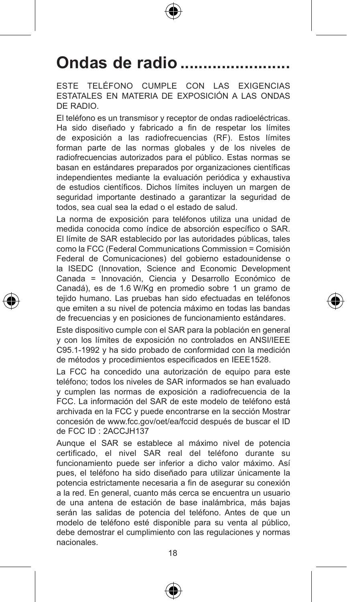# Ondas de radio ......

ESTE TELÉFONO CUMPLE CON LAS EXIGENCIAS ESTATALES EN MATERIA DE EXPOSICIÓN A LAS ONDAS DE RADIO.

El teléfono es un transmisor y receptor de ondas radioeléctricas. Ha sido diseñado y fabricado a fin de respetar los límites de exposición a las radiofrecuencias (RF). Estos límites forman parte de las normas globales y de los niveles de radiofrecuencias autorizados para el público. Estas normas se basan en estándares preparados por organizaciones científicas independientes mediante la evaluación periódica y exhaustiva de estudios científicos. Dichos límites incluyen un margen de seguridad importante destinado a garantizar la seguridad de todos, sea cual sea la edad o el estado de salud.

La norma de exposición para teléfonos utiliza una unidad de medida conocida como índice de absorción específico o SAR. El límite de SAR establecido por las autoridades públicas, tales como la FCC (Federal Communications Commission = Comisión Federal de Comunicaciones) del gobierno estadounidense o la ISEDC (Innovation, Science and Economic Development Canada = Innovación, Ciencia y Desarrollo Económico de Canadá), es de 1.6 W/Kg en promedio sobre 1 un gramo de tejido humano. Las pruebas han sido efectuadas en teléfonos que emiten a su nivel de potencia máximo en todas las bandas de frecuencias y en posiciones de funcionamiento estándares.

Este dispositivo cumple con el SAR para la población en general y con los límites de exposición no controlados en ANSI/IEEE C95.1-1992 y ha sido probado de conformidad con la medición de métodos y procedimientos especificados en IEEE1528.

La FCC ha concedido una autorización de equipo para este teléfono; todos los niveles de SAR informados se han evaluado y cumplen las normas de exposición a radiofrecuencia de la FCC. La información del SAR de este modelo de teléfono está archivada en la FCC y puede encontrarse en la sección Mostrar concesión de www.fcc.gov/oet/ea/fccid después de buscar el ID de FCC ID : 2ACCJH137

Aunque el SAR se establece al máximo nivel de potencia certificado, el nivel SAR real del teléfono durante su funcionamiento puede ser inferior a dicho valor máximo. Así pues, el teléfono ha sido diseñado para utilizar únicamente la potencia estrictamente necesaria a fin de asegurar su conexión a la red. En general, cuanto más cerca se encuentra un usuario de una antena de estación de base inalámbrica, más bajas serán las salidas de potencia del teléfono. Antes de que un modelo de teléfono esté disponible para su venta al público, debe demostrar el cumplimiento con las regulaciones y normas nacionales.



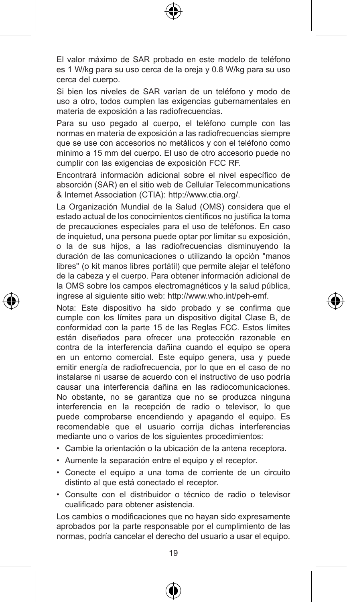El valor máximo de SAR probado en este modelo de teléfono es 1 W/kg para su uso cerca de la oreja y 0.8 W/kg para su uso cerca del cuerpo.

Si bien los niveles de SAR varían de un teléfono y modo de uso a otro, todos cumplen las exigencias gubernamentales en materia de exposición a las radiofrecuencias.

Para su uso pegado al cuerpo, el teléfono cumple con las normas en materia de exposición a las radiofrecuencias siempre que se use con accesorios no metálicos y con el teléfono como mínimo a 15 mm del cuerpo. El uso de otro accesorio puede no cumplir con las exigencias de exposición FCC RF.

Encontrará información adicional sobre el nivel específico de absorción (SAR) en el sitio web de Cellular Telecommunications & Internet Association (CTIA): http://www.ctia.org/.

La Organización Mundial de la Salud (OMS) considera que el estado actual de los conocimientos científicos no justifica la toma de precauciones especiales para el uso de teléfonos. En caso de inquietud, una persona puede optar por limitar su exposición, o la de sus hijos, a las radiofrecuencias disminuyendo la duración de las comunicaciones o utilizando la opción "manos libres" (o kit manos libres portátil) que permite alejar el teléfono de la cabeza y el cuerpo. Para obtener información adicional de la OMS sobre los campos electromagnéticos y la salud pública, ingrese al siguiente sitio web: http://www.who.int/peh-emf.

Nota: Este dispositivo ha sido probado y se confirma que cumple con los límites para un dispositivo digital Clase B, de conformidad con la parte 15 de las Reglas FCC. Estos límites están diseñados para ofrecer una protección razonable en contra de la interferencia dañina cuando el equipo se opera en un entorno comercial. Este equipo genera, usa y puede emitir energía de radiofrecuencia, por lo que en el caso de no instalarse ni usarse de acuerdo con el instructivo de uso podría causar una interferencia dañina en las radiocomunicaciones. No obstante, no se garantiza que no se produzca ninguna interferencia en la recepción de radio o televisor, lo que puede comprobarse encendiendo y apagando el equipo. Es recomendable que el usuario corrija dichas interferencias mediante uno o varios de los siguientes procedimientos:

- • Cambie la orientación o la ubicación de la antena receptora.
- • Aumente la separación entre el equipo y el receptor.
- • Conecte el equipo a una toma de corriente de un circuito distinto al que está conectado el receptor.
- • Consulte con el distribuidor o técnico de radio o televisor cualificado para obtener asistencia.

Los cambios o modificaciones que no hayan sido expresamente aprobados por la parte responsable por el cumplimiento de las normas, podría cancelar el derecho del usuario a usar el equipo.





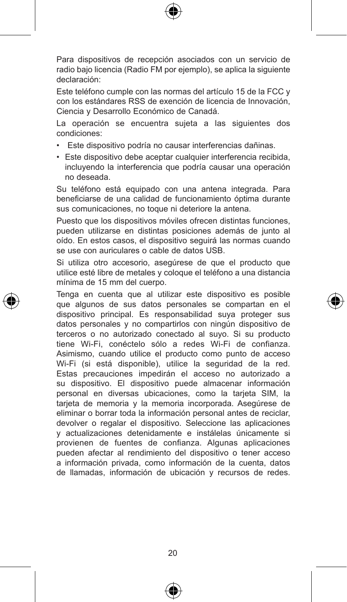

Para dispositivos de recepción asociados con un servicio de radio bajo licencia (Radio FM por ejemplo), se aplica la siguiente declaración:

Este teléfono cumple con las normas del artículo 15 de la FCC y con los estándares RSS de exención de licencia de Innovación, Ciencia y Desarrollo Económico de Canadá.

La operación se encuentra sujeta a las siguientes dos condiciones:

- • Este dispositivo podría no causar interferencias dañinas.
- Este dispositivo debe aceptar cualquier interferencia recibida, incluyendo la interferencia que podría causar una operación no deseada.

Su teléfono está equipado con una antena integrada. Para beneficiarse de una calidad de funcionamiento óptima durante sus comunicaciones, no toque ni deteriore la antena.

Puesto que los dispositivos móviles ofrecen distintas funciones, pueden utilizarse en distintas posiciones además de junto al oído. En estos casos, el dispositivo seguirá las normas cuando se use con auriculares o cable de datos USB.

Si utiliza otro accesorio, asegúrese de que el producto que utilice esté libre de metales y coloque el teléfono a una distancia mínima de 15 mm del cuerpo.

Tenga en cuenta que al utilizar este dispositivo es posible que algunos de sus datos personales se compartan en el dispositivo principal. Es responsabilidad suya proteger sus datos personales y no compartirlos con ningún dispositivo de terceros o no autorizado conectado al suyo. Si su producto tiene Wi-Fi, conéctelo sólo a redes Wi-Fi de confianza. Asimismo, cuando utilice el producto como punto de acceso Wi-Fi (si está disponible), utilice la seguridad de la red. Estas precauciones impedirán el acceso no autorizado a su dispositivo. El dispositivo puede almacenar información personal en diversas ubicaciones, como la tarjeta SIM, la tarjeta de memoria y la memoria incorporada. Asegúrese de eliminar o borrar toda la información personal antes de reciclar, devolver o regalar el dispositivo. Seleccione las aplicaciones y actualizaciones detenidamente e instálelas únicamente si provienen de fuentes de confianza. Algunas aplicaciones pueden afectar al rendimiento del dispositivo o tener acceso a información privada, como información de la cuenta, datos de llamadas, información de ubicación y recursos de redes.





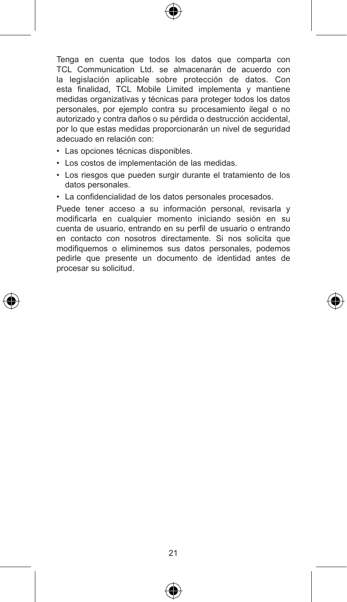

Tenga en cuenta que todos los datos que comparta con TCL Communication Ltd. se almacenarán de acuerdo con la legislación aplicable sobre protección de datos. Con esta finalidad, TCL Mobile Limited implementa y mantiene medidas organizativas y técnicas para proteger todos los datos personales, por ejemplo contra su procesamiento ilegal o no autorizado y contra daños o su pérdida o destrucción accidental, por lo que estas medidas proporcionarán un nivel de seguridad adecuado en relación con:

- • Las opciones técnicas disponibles.
- • Los costos de implementación de las medidas.
- • Los riesgos que pueden surgir durante el tratamiento de los datos personales.
- • La confidencialidad de los datos personales procesados.

Puede tener acceso a su información personal, revisarla y modificarla en cualquier momento iniciando sesión en su cuenta de usuario, entrando en su perfil de usuario o entrando en contacto con nosotros directamente. Si nos solicita que modifiquemos o eliminemos sus datos personales, podemos pedirle que presente un documento de identidad antes de procesar su solicitud.





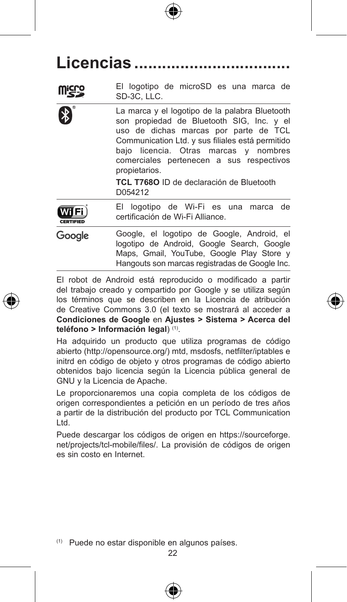Licencias ......

El logotipo de microSD es una marca de  $SD-3C$ , LLC.

La marca y el logotipo de la palabra Bluetooth son propiedad de Bluetooth SIG, Inc. y el uso de dichas marcas por parte de TCL Communication Ltd. y sus filiales está permitido bajo licencia. Otras marcas y nombres comerciales pertenecen a sus respectivos propietarios.

> **TCL T768O** ID de declaración de Bluetooth D054212

- El logotipo de Wi-Fi es una marca de WiFi certificación de Wi-Fi Alliance. CERTIFIED
- Google, el logotipo de Google, Android, el Google logotipo de Android, Google Search, Google Maps, Gmail, YouTube, Google Play Store y Hangouts son marcas registradas de Google Inc.

El robot de Android está reproducido o modificado a partir del trabajo creado y compartido por Google y se utiliza según los términos que se describen en la Licencia de atribución de Creative Commons 3.0 (el texto se mostrará al acceder a **Condiciones de Google** en **Ajustes > Sistema > Acerca del teléfono > Información legal**) (1).

Ha adquirido un producto que utiliza programas de código abierto (http://opensource.org/) mtd, msdosfs, netfilter/iptables e initrd en código de objeto y otros programas de código abierto obtenidos bajo licencia según la Licencia pública general de GNU y la Licencia de Apache.

Le proporcionaremos una copia completa de los códigos de origen correspondientes a petición en un período de tres años a partir de la distribución del producto por TCL Communication Ltd.

Puede descargar los códigos de origen en https://sourceforge. net/projects/tcl-mobile/files/. La provisión de códigos de origen es sin costo en Internet.

(1) Puede no estar disponible en algunos países.



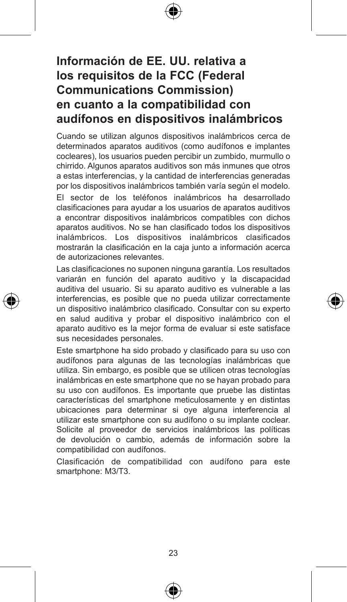## **Información de EE. UU. relativa a los requisitos de la FCC (Federal Communications Commission) en cuanto a la compatibilidad con audífonos en dispositivos inalámbricos**

Cuando se utilizan algunos dispositivos inalámbricos cerca de determinados aparatos auditivos (como audífonos e implantes cocleares), los usuarios pueden percibir un zumbido, murmullo o chirrido. Algunos aparatos auditivos son más inmunes que otros a estas interferencias, y la cantidad de interferencias generadas por los dispositivos inalámbricos también varía según el modelo.

El sector de los teléfonos inalámbricos ha desarrollado clasificaciones para ayudar a los usuarios de aparatos auditivos a encontrar dispositivos inalámbricos compatibles con dichos aparatos auditivos. No se han clasificado todos los dispositivos inalámbricos. Los dispositivos inalámbricos clasificados mostrarán la clasificación en la caja junto a información acerca de autorizaciones relevantes.

Las clasificaciones no suponen ninguna garantía. Los resultados variarán en función del aparato auditivo y la discapacidad auditiva del usuario. Si su aparato auditivo es vulnerable a las interferencias, es posible que no pueda utilizar correctamente un dispositivo inalámbrico clasificado. Consultar con su experto en salud auditiva y probar el dispositivo inalámbrico con el aparato auditivo es la mejor forma de evaluar si este satisface sus necesidades personales.

Este smartphone ha sido probado y clasificado para su uso con audífonos para algunas de las tecnologías inalámbricas que utiliza. Sin embargo, es posible que se utilicen otras tecnologías inalámbricas en este smartphone que no se hayan probado para su uso con audífonos. Es importante que pruebe las distintas características del smartphone meticulosamente y en distintas ubicaciones para determinar si oye alguna interferencia al utilizar este smartphone con su audífono o su implante coclear. Solicite al proveedor de servicios inalámbricos las políticas de devolución o cambio, además de información sobre la compatibilidad con audífonos.

Clasificación de compatibilidad con audífono para este smartphone: M3/T3.

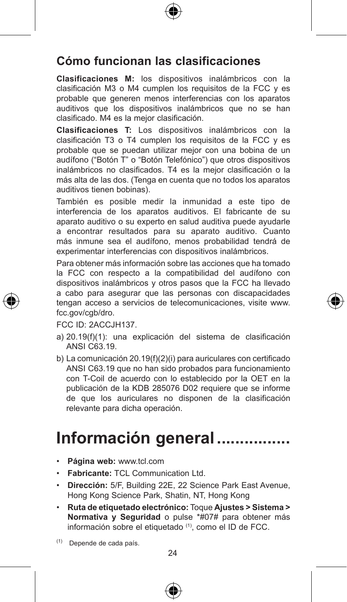## **Cómo funcionan las clasificaciones**

**Clasificaciones M:** los dispositivos inalámbricos con la clasificación M3 o M4 cumplen los requisitos de la FCC y es probable que generen menos interferencias con los aparatos auditivos que los dispositivos inalámbricos que no se han clasificado. M4 es la mejor clasificación.

**Clasificaciones T:** Los dispositivos inalámbricos con la clasificación T3 o T4 cumplen los requisitos de la FCC y es probable que se puedan utilizar mejor con una bobina de un audífono ("Botón T" o "Botón Telefónico") que otros dispositivos inalámbricos no clasificados. T4 es la mejor clasificación o la más alta de las dos. (Tenga en cuenta que no todos los aparatos auditivos tienen bobinas).

También es posible medir la inmunidad a este tipo de interferencia de los aparatos auditivos. El fabricante de su aparato auditivo o su experto en salud auditiva puede ayudarle a encontrar resultados para su aparato auditivo. Cuanto más inmune sea el audífono, menos probabilidad tendrá de experimentar interferencias con dispositivos inalámbricos.

Para obtener más información sobre las acciones que ha tomado la FCC con respecto a la compatibilidad del audífono con dispositivos inalámbricos y otros pasos que la FCC ha llevado a cabo para asegurar que las personas con discapacidades tengan acceso a servicios de telecomunicaciones, visite www. fcc.gov/cgb/dro.

FCC ID: 2ACCJH137.

- a) 20.19(f)(1): una explicación del sistema de clasificación ANSI C63.19.
- b) La comunicación 20.19(f)(2)(i) para auriculares con certificado ANSI C63.19 que no han sido probados para funcionamiento con T-Coil de acuerdo con lo establecido por la OET en la publicación de la KDB 285076 D02 requiere que se informe de que los auriculares no disponen de la clasificación relevante para dicha operación.

# Información general .........

- • **Página web:** www.tcl.com
- • **Fabricante:** TCL Communication Ltd.
- • **Dirección:** 5/F, Building 22E, 22 Science Park East Avenue, Hong Kong Science Park, Shatin, NT, Hong Kong
- • **Ruta de etiquetado electrónico:** Toque **Ajustes > Sistema > Normativa y Seguridad** o pulse \*#07# para obtener más información sobre el etiquetado (1), como el ID de FCC.

(1) Depende de cada país.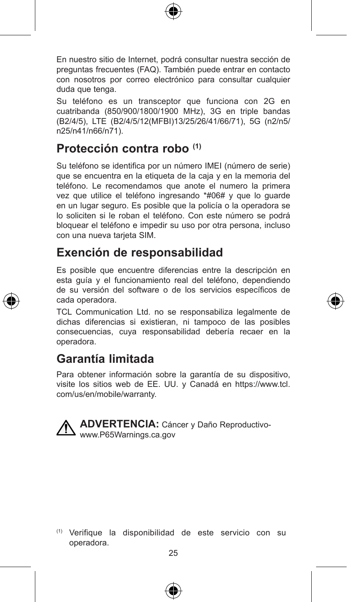

En nuestro sitio de Internet, podrá consultar nuestra sección de preguntas frecuentes (FAQ). También puede entrar en contacto con nosotros por correo electrónico para consultar cualquier duda que tenga.

Su teléfono es un transceptor que funciona con 2G en cuatribanda (850/900/1800/1900 MHz), 3G en triple bandas (B2/4/5), LTE (B2/4/5/12(MFBI)13/25/26/41/66/71), 5G (n2/n5/ n25/n41/n66/n71).

## **Protección contra robo (1)**

Su teléfono se identifica por un número IMEI (número de serie) que se encuentra en la etiqueta de la caja y en la memoria del teléfono. Le recomendamos que anote el numero la primera vez que utilice el teléfono ingresando \*#06# y que lo guarde en un lugar seguro. Es posible que la policía o la operadora se lo soliciten si le roban el teléfono. Con este número se podrá bloquear el teléfono e impedir su uso por otra persona, incluso con una nueva tarjeta SIM.

#### **Exención de responsabilidad**

Es posible que encuentre diferencias entre la descripción en esta guía y el funcionamiento real del teléfono, dependiendo de su versión del software o de los servicios específicos de cada operadora.

TCL Communication Ltd. no se responsabiliza legalmente de dichas diferencias si existieran, ni tampoco de las posibles consecuencias, cuya responsabilidad debería recaer en la operadora.

#### **Garantía limitada**

Para obtener información sobre la garantía de su dispositivo, visite los sitios web de EE. UU. y Canadá en https://www.tcl. com/us/en/mobile/warranty.



**ADVERTENCIA:** Cáncer y Daño Reproductivowww.P65Warnings.ca.gov

25 (1) Verifique la disponibilidad de este servicio con su operadora.